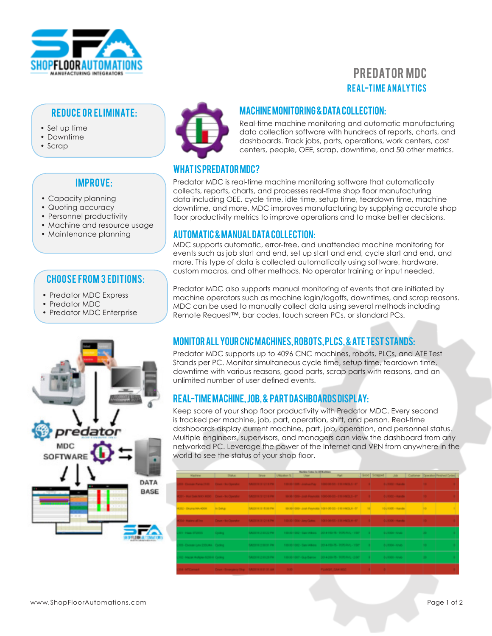

# REAL-TIME ANALYTICS PREDATOR MDC

#### REDUCE OR ELIMINATE:

- Set up time
- Downtime
- Scrap

## Improve:

- Capacity planning
- Quoting accuracy
- Personnel productivity
- Machine and resource usage
- Maintenance planning

#### Choose from 3 editions:

- Predator MDC Express
- Predator MDC
- Predator MDC Enterprise





#### MACHINE MONITORING & DATA COLLECTION:

Real-time machine monitoring and automatic manufacturing data collection software with hundreds of reports, charts, and dashboards. Track jobs, parts, operations, work centers, cost centers, people, OEE, scrap, downtime, and 50 other metrics.

## What is Predator MDC?

Predator MDC is real-time machine monitoring software that automatically collects, reports, charts, and processes real-time shop floor manufacturing data including OEE, cycle time, idle time, setup time, teardown time, machine downtime, and more. MDC improves manufacturing by supplying accurate shop floor productivity metrics to improve operations and to make better decisions.

#### Automatic & manual data collection:

MDC supports automatic, error-free, and unattended machine monitoring for events such as job start and end, set up start and end, cycle start and end, and more. This type of data is collected automatically using software, hardware, custom macros, and other methods. No operator training or input needed.

Predator MDC also supports manual monitoring of events that are initiated by machine operators such as machine login/logoffs, downtimes, and scrap reasons. MDC can be used to manually collect data using several methods including Remote Request™, bar codes, touch screen PCs, or standard PCs.

## Monitor all your CNC machines, robots, PLCs, & ATE test stands:

Predator MDC supports up to 4096 CNC machines, robots, PLCs, and ATE Test Stands per PC. Monitor simultaneous cycle time, setup time, teardown time, downtime with various reasons, good parts, scrap parts with reasons, and an unlimited number of user defined events.

## Real-time machine, job, & part dashboards display:

Keep score of your shop floor productivity with Predator MDC. Every second is tracked per machine, job, part, operation, shift, and person. Real-time dashboards display current machine, part, job, operation, and personnel status. Multiple engineers, supervisors, and managers can view the dashboard from any networked PC. Leverage the power of the Internet and VPN from anywhere in the world to see the status of your shop floor.

| <b>National</b>                                      | <b>Tishak</b>  | Tires                             | Little place N. | MacAine finalsa for 18 MacAines<br><b>User</b> | <b>Part</b>                                                                                                                                   |  |  |  |  |        | Good Scraped Jab Californi Question Prestrat Cycles |  |
|------------------------------------------------------|----------------|-----------------------------------|-----------------|------------------------------------------------|-----------------------------------------------------------------------------------------------------------------------------------------------|--|--|--|--|--------|-----------------------------------------------------|--|
|                                                      |                |                                   |                 |                                                | CI-Desar Analitto Desi-Ni Questo - Militor 112 la Pé - 1950 1998 James Ray - 1950-9-12 111 (403-1-47 - 11-4 - 11-5) - 0.1500 - 4amilie - 11-4 |  |  |  |  |        |                                                     |  |
|                                                      |                |                                   |                 |                                                | 21-Mail Set 400 Down-Nichards McDirector McDirector (1984) 908-308-944-48-100-06-03-114-403-1-21   8   0.1920-06-06-                          |  |  |  |  |        |                                                     |  |
| 4301 - Okuma MA-4001                                 | <b>British</b> | <b><i>SAUDENER SERIES</i></b>     |                 |                                                | 90101100-Josh Faunckin, 1011-05-55 - 1111/1903; II-P   100   1012105-11406                                                                    |  |  |  |  | 1911   |                                                     |  |
|                                                      |                |                                   |                 |                                                | 2012 Halley all the St Clauder SADDIN 1218 PM 10030 Doctaring DAI 06/07 11/14/03 PM 1 0 0.1000 Handa 1 0 0                                    |  |  |  |  |        |                                                     |  |
|                                                      |                | <b><i>BACK WITH THE FALL</i></b>  |                 |                                                |                                                                                                                                               |  |  |  |  | $-20$  |                                                     |  |
| THE CONSENSION COURS CHIEFS                          |                | <b>SASSING WALLER</b>             |                 |                                                | 100.001000~San #Basil 9014-150-75~107-905-912-1107   8   0.1004-9120-                                                                         |  |  |  |  | $-100$ | $\sim$                                              |  |
| 1991 - Maria IIII, Abdes 5200 & Conting              |                | <b>Rational Association Print</b> |                 |                                                |                                                                                                                                               |  |  |  |  | - 19   | ٠                                                   |  |
| 104 MTConnect Down Reserves the MCDCH EXT State 0.00 |                |                                   |                 |                                                | <b>CALL AND REAGAN CAN HAVE</b>                                                                                                               |  |  |  |  |        |                                                     |  |